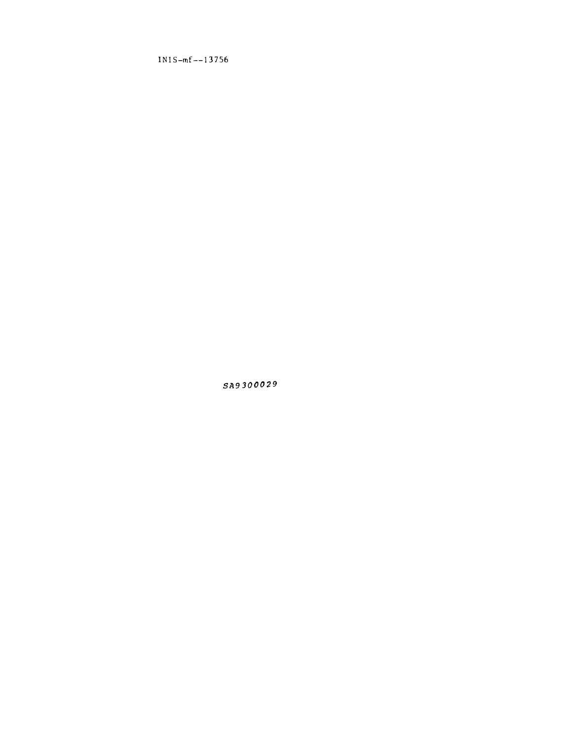INIS-mf—I 3756

*SR9300029*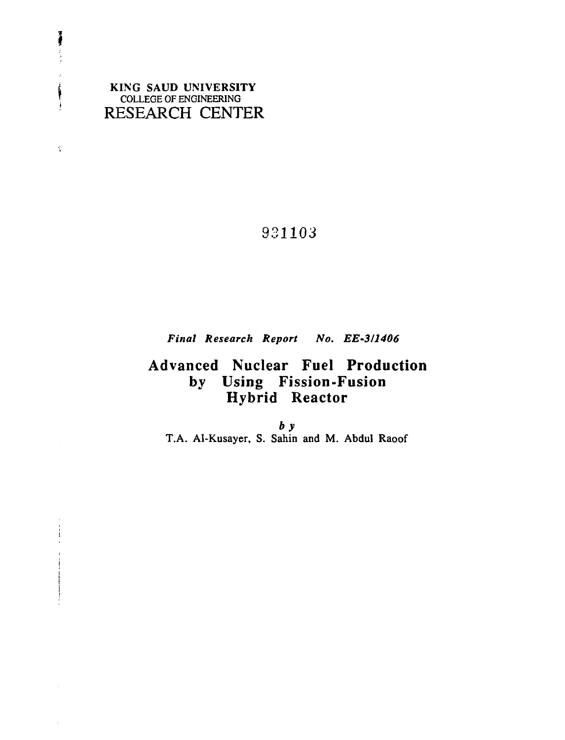**KING SAUD UNIVERSITY COLLEGE OF ENGINEERING** RESEARCH CENTER

 $\mathfrak{f}$ ł

 $\tilde{\mathcal{L}}$ 

# 931103

*Final Research Report No. EE-311406*

# Advanced Nuclear Fuel Production by Using Fission-Fusion Hybrid Reactor

*by* **T.A. Al-Kusayer, S. Sahin and M. Abdul Raoof**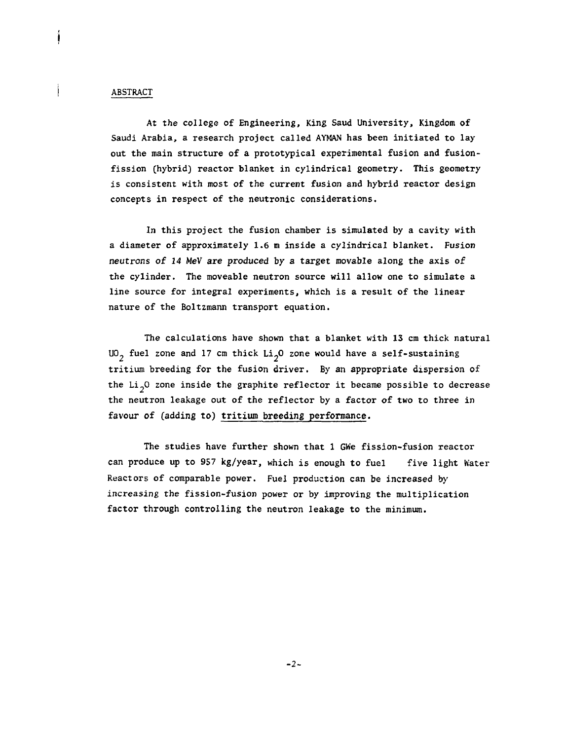## ABSTRACT

í

İ

At the college of Engineering, King Saud University, Kingdom of Saudi Arabia, a research project called AYMAN has been initiated to lay out the main structure of a prototypical experimental fusion and fusionfission (hybrid) reactor blanket in cylindrical geometry. This geometry is consistent with most of the current fusion and hybrid reactor design concepts in respect of the neutronic considerations.

In this project the fusion chamber is simulated by a cavity with a diameter of approximately 1.6 m inside a cylindrical blanket. Fusion neutrons of 14 MeV are produced by a target movable along the axis of the cylinder. The moveable neutron source will allow one to simulate a line source for integral experiments, which is a result of the linear nature of the Boltzmann transport equation.

The calculations have shown that a blanket with 13 cm thick natural UO<sub>2</sub> fuel zone and 17 cm thick Li<sub>2</sub>O zone would have a self-sustaining tritium breeding for the fusion driver. By an appropriate dispersion of the Li<sub>2</sub>O zone inside the graphite reflector it became possible to decrease the neutron leakage out of the reflector by a factor of two to three in favour of (adding to) tritium breeding performance.

The studies have further shown that 1 GWe fission-fusion reactor can produce up to 957 kg/year, which is enough to fuel five light Water Reactors of comparable power. Fuel production can be increased by increasing the fission-fusion power or by improving the multiplication factor through controlling the neutron leakage to the minimum.

-2-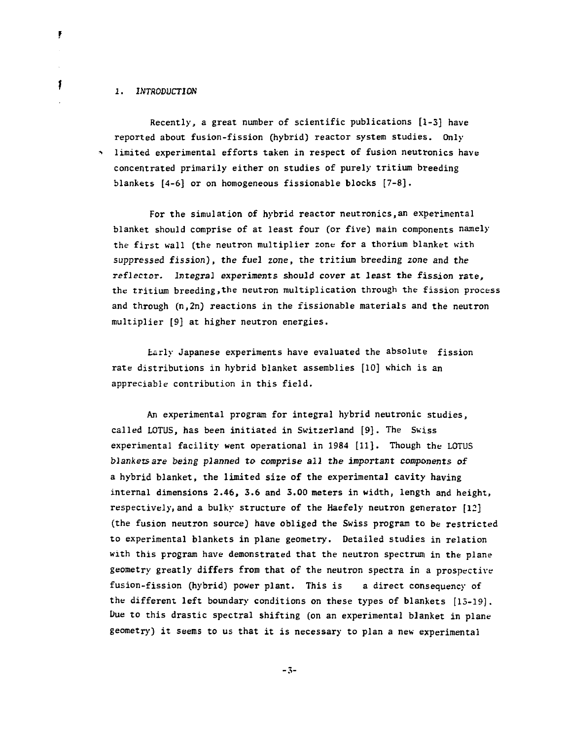## 1. INTRODUCTION

y

1

Recently, a great number of scientific publications [1-3] have reported about fusion-fission (hybrid) reactor system studies. Only limited experimental efforts taken in respect of fusion neutronics have concentrated primarily either on studies of purely tritium breeding blankets [4-6] or on homogeneous fissionable blocks [7-8].

For the simulation of hybrid reactor neutronics,an experimental blanket should comprise of at least four (or five) main components namely the first wall (the neutron multiplier zone for a thorium blanket with suppressed fission), the fuel zone, the tritium breeding zone and the reflector. Integral experiments should cover at least the fission rate, the tritium breeding,the neutron multiplication through the fission process and through (n,2n) reactions in the fissionable materials and the neutron multiplier [9] at higher neutron energies.

tarly Japanese experiments have evaluated the absolute fission rate distributions in hybrid blanket assemblies [10] which is an appreciable contribution in this field.

An experimental program for integral hybrid neutronic studies, called LOTUS, has been initiated in Switzerland [9]. The Swiss experimental facility went operational in 1984 [11]. Though the LOTUS blankets are being planned to comprise all the important components of a hybrid blanket, the limited size of the experimental cavity having internal dimensions 2.46, 3.6 and 3.00 meters in width, length and height, respectively, and a bulky structure of the Haefely neutron generator [12] (the fusion neutron source) have obliged the Swiss program to be restricted to experimental blankets in plane geometry. Detailed studies in relation with this program have demonstrated that the neutron spectrum in the plane geometry greatly differs from that of the neutron spectra in a prospective fusion-fission (hybrid) power plant. This is a direct consequency of the different left boundary conditions on these types of blankets [15-19]. Due to this drastic spectral shifting (on an experimental blanket in plane geometry) it seems to us that it is necessary to plan a new experimental

-3-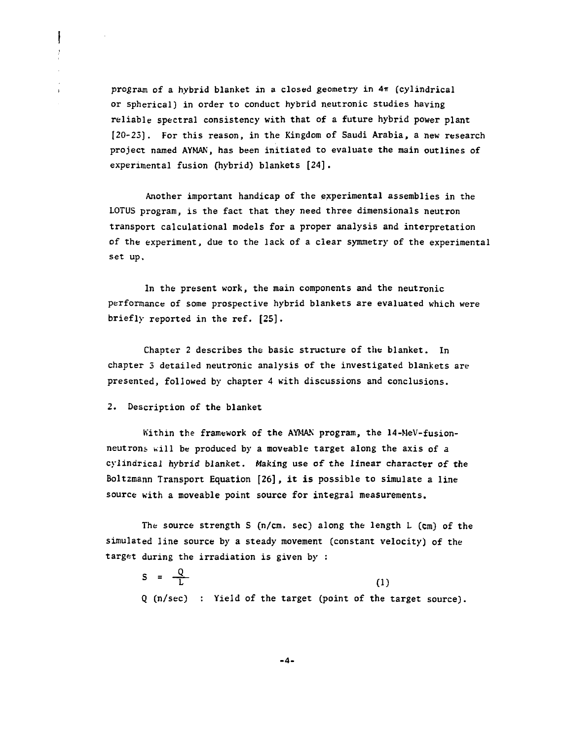program of a hybrid blanket in a closed geometry in  $4\pi$  (cylindrical or spherical) in order to conduct hybrid neutronic studies having reliable spectral consistency with that of a future hybrid power plant [20-23]. For this reason, in the Kingdom of Saudi Arabia, a new research project named AYMAN, has been initiated to evaluate the main outlines of experimental fusion (hybrid) blankets [24].

Another important handicap of the experimental assemblies in the LOTUS program, is the fact that they need three dimensionals neutron transport calculational models for a proper analysis and interpretation of the experiment, due to the lack of a clear symmetry of the experimental set up.

In the present work, the main components and the neutronic performance of some prospective hybrid blankets are evaluated which were briefly reported in the ref. [25].

Chapter 2 describes the basic structure of the blanket. In chapter 5 detailed neutronic analysis of the investigated blankets are presented, followed by chapter 4 with discussions and conclusions.

2. Description of the blanket

 $\mathbf{\mathbf{I}}$ 

Within the framework of the AYMAN program, the 14-MeV-fusionneutrons will be produced by a moveable target along the axis of a cylindrical hybrid blanket. Making use of the linear character of the Boltzmann Transport Equation [26], it is possible to simulate a line source with a moveable point source for integral measurements.

The source strength S (n/cm. sec) along the length L (cm) of the simulated line source by a steady movement (constant velocity) of the target during the irradiation is given by :

 $S = \frac{Q}{1}$  $(1)$ Q (n/sec) : Yield of the target (point of the target source).

-A-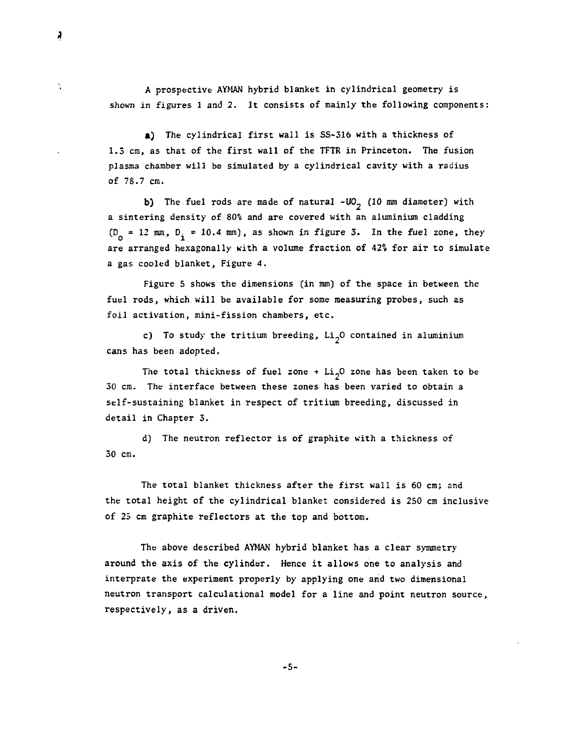A prospective AYMAN hybrid blanket in cylindrical geometry is shown in figures 1 and 2. It consists of mainly the following components:

 $\lambda$ 

÷

a) The cylindrical first wall is SS-316 with a thickness of 1.3 cm, as that of the first wall of the TFTR in Princeton. The fusion plasma chamber will be simulated by a cylindrical cavity with a radius of 7S.7 cm.

b) The fuel rods are made of natural  $-UO_2$  (10 mm diameter) with a sintering density of 80% and are covered with an aluminium cladding  $(D_0 = 12 \text{ mm}, D_i = 10.4 \text{ mm}),$  as shown in figure 3. In the fuel zone, they are arranged hexagonally with a volume fraction of 42% for air to simulate a gas cooled blanket, Figure 4.

Figure 5 shows the dimensions (in mm) of the space in between the fuel rods, which will be available for some measuring probes, such as foil activation, mini-fission chambers, etc.

c) To study the tritium breeding,  $Li<sub>2</sub>O$  contained in aluminium cans has been adopted.

The total thickness of fuel zone +  $Li<sub>2</sub>$ O zone has been taken to be 30 cm. The interface between these zones has been varied to obtain a self-sustaining blanket in respect of tritium breeding, discussed in detail in Chapter 3.

d) The neutron reflector is of graphite with a thickness of 30 cm.

The total blanket thickness after the first wall is 60 cm; and the total height of the cylindrical blanket considered is 250 cm inclusive of 25 cm graphite reflectors at the top and bottom.

The above described AYMAN hybrid blanket has a clear symmetry around the axis of the cylinder. Hence it allows one to analysis and interprate the experiment properly by applying one and two dimensional neutron transport calculational model for a line and point neutron source, respectively, as a driven.

-S-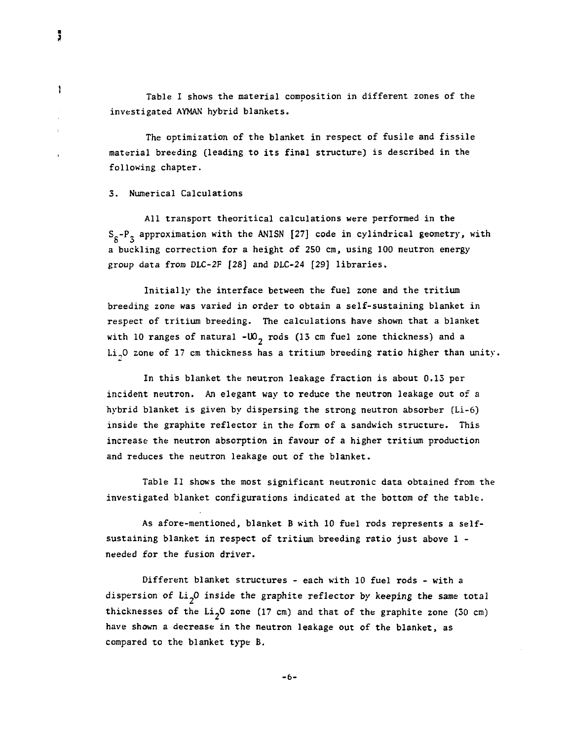Table I shows the material composition in different zones of the investigated AYMAN hybrid blankets.

The optimization of the blanket in respect of fusile and fissile material breeding (leading to its final structure) is described in the following chapter.

## 3. Numerical Calculations

All transport theoritical calculations were performed in the  $S_s-P_2$  approximation with the ANISN [27] code in cylindrical geometry, with a buckling correction for a height of 250 cm, using 100 neutron energy group data from DLC-2F [28] and DLC-24 [29] libraries.

Initially the interface between the fuel zone and the tritium breeding zone was varied in order to obtain a self-sustaining blanket in respect of tritium breeding. The calculations have shown that a blanket with 10 ranges of natural - $10^{\circ}$  rods (13 cm fuel zone thickness) and a Li.,0 zone of 17 cm thickness has a tritium breeding ratio higher than unity.

In this blanket the neutron leakage fraction is about 0.15 per incident neutron. An elegant way to reduce the neutron leakage out of a hybrid blanket is given by dispersing the strong neutron absorber (Li-6) inside the graphite reflector in the form of a sandwich structure. This increase the neutron absorption in favour of a higher tritium production and reduces the neutron leakage out of the blanket.

Table II shows the most significant neutronic data obtained from the investigated blanket configurations indicated at the bottom of the table.

As afore-mentioned, blanket B with 10 fuel rods represents a selfsustaining blanket in respect of tritium breeding ratio just above 1 needed for the fusion driver.

Different blanket structures - each with 10 fuel rods - with a dispersion of  $Li_2O$  inside the graphite reflector by keeping the same total thicknesses of the Li<sub>2</sub>O zone (17 cm) and that of the graphite zone (30 cm) have shown a decrease in the neutron leakage out of the blanket, as compared to the blanket type B.

ţ.

 $\mathbf{1}$ 

-6-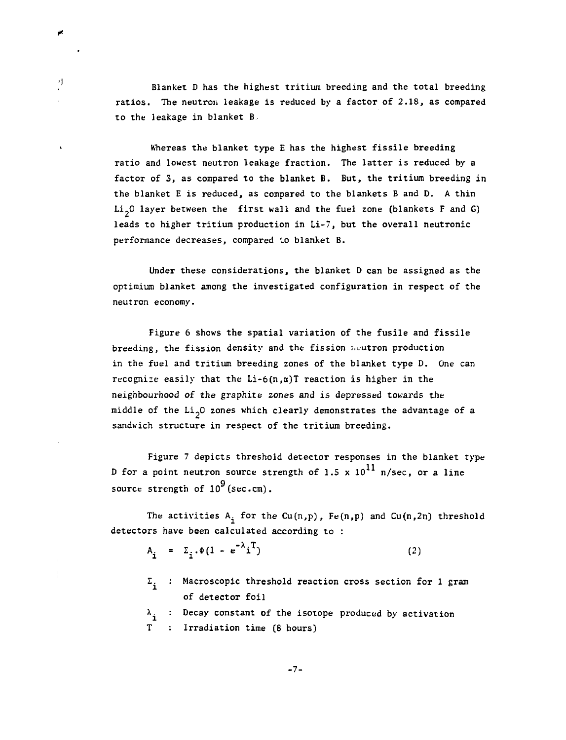Blanket D has the highest tritium breeding and the total breeding ratios. The neutron leakage is reduced by a factor of 2.18, as compared to the leakage in blanket B

 $\mathcal{L}$ 

×ţ.

Whereas the blanket type E has the highest fissile breeding ratio and lowest neutron leakage fraction. The latter is reduced by a factor of 3, as compared to the blanket B. But, the tritium breeding in the blanket E is reduced, as compared to the blankets B and D. A thin Li.O layer between the first wall and the fuel zone (blankets F and G) leads to higher tritium production in Li-7, but the overall neutronic performance decreases, compared to blanket B.

Under these considerations, the blanket D can be assigned as the optimium blanket among the investigated configuration in respect of the neutron economy.

Figure 6 shows the spatial variation of the fusile and fissile breeding, the fission density and the fission meutron production in the fuel and tritium breeding zones of the blanket type D. One can recognize easily that the  $Li-6(n,a)T$  reaction is higher in the neighbourhood of the graphite zones and is depressed towards the middle of the Li<sub>2</sub>O zones which clearly demonstrates the advantage of a sandwich structure in respect of the tritium breeding.

Figure 7 depicts threshold detector responses in the blanket type D for a point neutron source strength of 1.5 x  $10^{11}$  n/sec, or a line source strength of 10<sup>9</sup> (sec.cm).

The activities  $A_i$  for the Cu(n,p), Fe(n,p) and Cu(n,2n) threshold detectors have been calculated according to :

$$
A_{i} = \Sigma_{i} \cdot \phi (1 - e^{-\lambda_{i}T})
$$
 (2)

 $\Sigma_i$ : Macroscopic threshold reaction cross section for 1 gram of detector foil

 $\lambda_i$  : Decay constant of the isotope produced by activation T : Irradiation time (8 hours)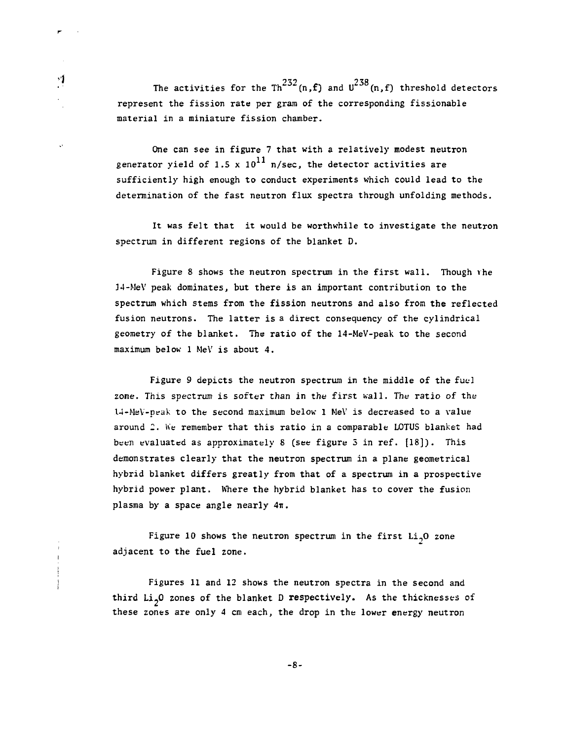The activities for the Th<sup>232</sup>(n,f) and  $U^{238}(n,f)$  threshold detectors represent the fission rate per gram of the corresponding fissionable material in a miniature fission chamber.

νj

One can see in figure 7 that with a relatively modest neutron generator yield of 1.5 x  $10^{11}$  n/sec, the detector activities are sufficiently high enough to conduct experiments which could lead to the determination of the fast neutron flux spectra through unfolding methods.

It was felt that it would be worthwhile to investigate the neutron spectrum in different regions of the blanket D.

Figure 8 shows the neutron spectrum in the first wall. Though rhe 34-MeV peak dominates, but there is an important contribution to the spectrum which stems from the fission neutrons and also from the reflected fusion neutrons. The latter is a direct consequency of the cylindrical geometry of the blanket. The ratio of the 14-MeV-peak to the second maximum below 1 MeV is about 4.

Figure 9 depicts the neutron spectrum in the middle of the fuel zone. This spectrum is softer than in the first wall. The ratio of the 14-MeY-peak to the second maximum below 1 MeV is decreased to a value around 2. We remember that this ratio in a comparable LOTUS blanket had been evaluated as approximately 8 (see figure 5 in ref. [18]). This demonstrates clearly that the neutron spectrum in a plane geometrical hybrid blanket differs greatly from that of a spectrum in a prospective hybrid power plant. Where the hybrid blanket has to cover the fusion plasma by a space angle nearly  $4\pi$ .

Figure 10 shows the neutron spectrum in the first  $Li<sub>2</sub>O$  zone adjacent to the fuel zone.

Figures 11 and 12 shows the neutron spectra in the second and third  $Li<sub>2</sub>0$  zones of the blanket D respectively. As the thicknesses of these zones are only 4 cm each, the drop in the lower energy neutron

-8-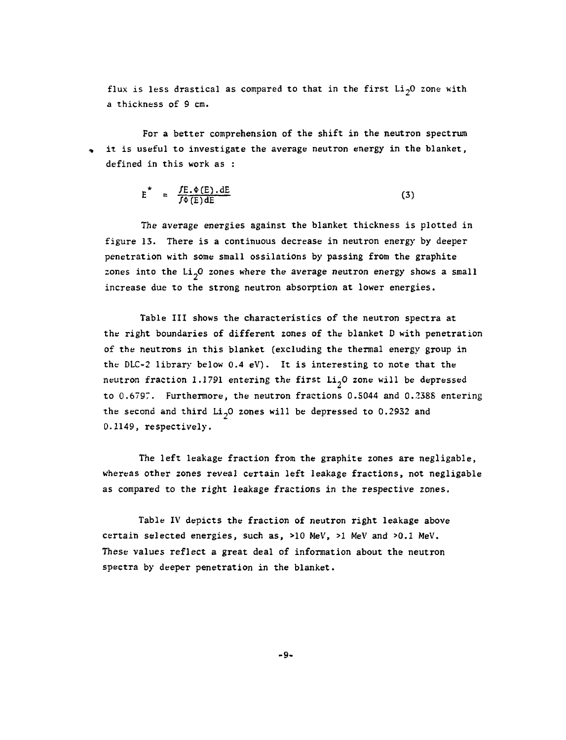flux is less drastical as compared to that in the first  $Li<sub>2</sub>O$  zone with a thickness of 9 cm.

For a better comprehension of the shift in the neutron spectrum it is useful to investigate the average neutron energy in the blanket, defined in this work as :

$$
E^* = \frac{fE \cdot \Phi(E) \cdot dE}{f \Phi(E) dE}
$$
 (3)

The average energies against the blanket thickness is plotted in figure 13. There is a continuous decrease in neutron energy by deeper penetration with some small ossilations by passing from the graphite zones into the  $Li<sub>2</sub>O$  zones where the average neutron energy shows a small increase due to the strong neutron absorption at lower energies.

Table III shows the characteristics of the neutron spectra at the right boundaries of different zones of the blanket D with penetration of the neutrons in this blanket (excluding the thermal energy group in the DLC-2 library below 0.4 eV). It is interesting to note that the neutron fraction 1.1791 entering the first  $Li<sub>2</sub>O$  zone will be depressed to 0.6797. Furthermore, the neutron fractions 0.5044 and 0.2388 entering the second and third  $Li_{2}$ O zones will be depressed to 0.2932 and 0.1149, respectively.

The left leakage fraction from the graphite zones are negligable, whereas other zones reveal certain left leakage fractions, not negligable as compared to the right leakage fractions in the respective zones.

Table IV depicts the fraction of neutron right leakage above certain selected energies, such as, >10 MeV, >1 MeV and >0.1 MeV. These values reflect a great deal of information about the neutron spectra by deeper penetration in the blanket.

-9-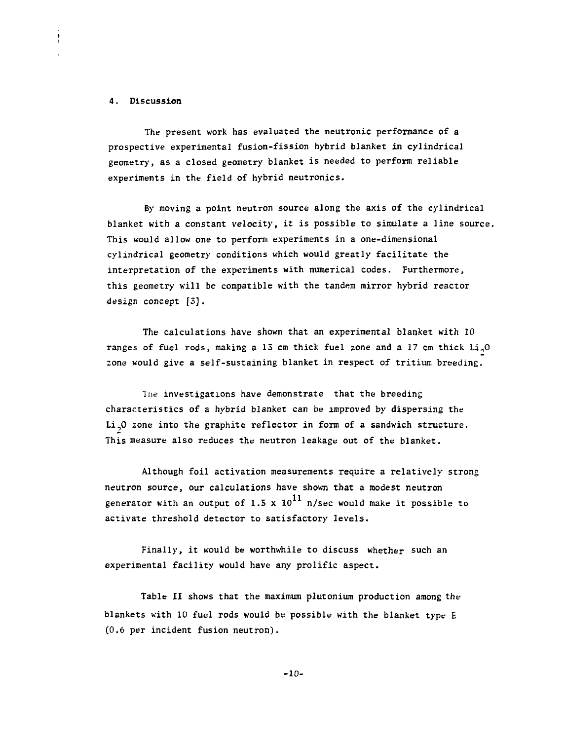### 4. Discussion

ì

The present work has evaluated the neutronic performance of a prospective experimental fusion-fission hybrid blanket in cylindrical geometry, as a closed geometry blanket is needed to perform reliable experiments in the field of hybrid neutronics.

By moving a point neutron source along the axis of the cylindrical blanket with a constant velocity, it is possible to simulate a line source. This would allow one to perform experiments in a one-dimensional cylindrical geometry conditions which would greatly facilitate the interpretation of the experiments with numerical codes. Furthermore, this geometry will be compatible with the tandem mirror hybrid reactor design concept [3].

The calculations have shown that an experimental blanket with 10 ranges of fuel rods, making a 13 cm thick fuel zone and a 17 cm thick  $Li_0O$ zone would give a self-sustaining blanket in respect of tritium breeding.

The investigations have demonstrate that the breeding characteristics of a hybrid blanket can be improved by dispersing the Li.,0 zone into the graphite reflector in form of a sandwich structure. This measure also reduces the neutron leakage out of the blanket.

Although foil activation measurements require a relatively strong neutron source, our calculations have shown that a modest neutron generator with an output of 1.5 x  $10^{11}$  n/sec would make it possible to activate threshold detector to satisfactory levels.

Finally, it would be worthwhile to discuss whether such an experimental facility would have any prolific aspect.

Table II shows that the maximum plutonium production among the blankets with 10 fuel rods would be possible with the blanket type E (0.6 per incident fusion neutron).

-10-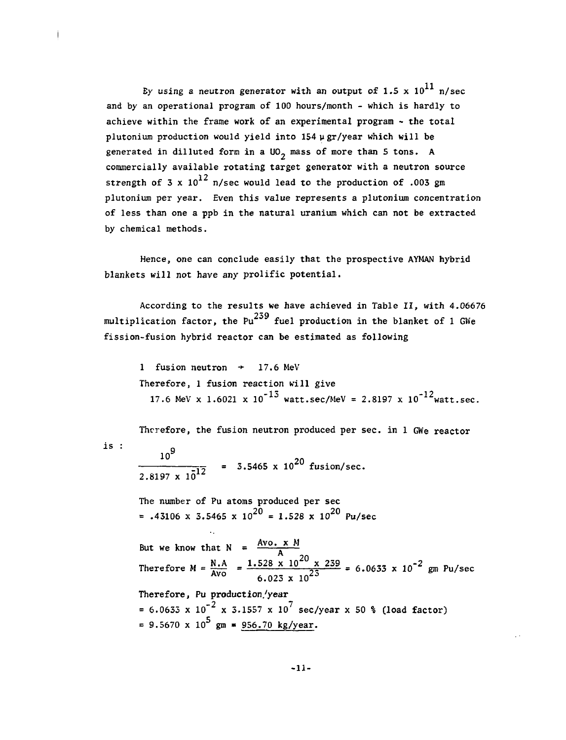By using a neutron generator with an output of 1.5 x  $10^{11}$  n/sec and by an operational program of 100 hours/month - which is hardly to achieve within the frame work of an experimental program - the total plutonium production would yield into 154 ugr/year which will be generated in dilluted form in a  $U_2$  mass of more than 5 tons. A commercially available rotating target generator with a neutron source strength of 3 x  $10^{12}$  n/sec would lead to the production of .003 gm plutonium per year. Even this value represents a plutonium concentration of less than one a ppb in the natural uranium which can not be extracted by chemical methods.

Hence, one can conclude easily that the prospective AYMAN hybrid blankets will not have any prolific potential.

According to the results we have achieved in Table II, with 4.06676 multiplication factor, the Pu $^{239}$  fuel production in the blanket of 1 GWe fission-fusion hybrid reactor can be estimated as following

1 fusion neutron  $+$  17.6 MeV Therefore, 1 fusion reaction will give 17.6 MeV x 1.6021 x  $10^{-13}$  watt.sec/MeV = 2.8197 x  $10^{-12}$  watt.sec.

Therefore, the fusion neutron produced per sec. in 1 GWe reactor

$$
\mathtt{is}:\qquad \qquad \mathsf{g}
$$

 $\frac{10}{-12}$  = 3.5465 x 10<sup>20</sup> fusion/sec. 2.8197 x 10 The number of Pu atoms produced per sec = .43106 x 3.5465 x  $10^{20}$  = 1.528 x  $10^{20}$  Pu/sec But we know that  $N = \frac{AVO - X}{\epsilon}$ Therefore  $M = \frac{N.A}{N} = \frac{1.528 \times 10^{20} \times 239}{N} = 6.0633 \times 10^{-2}$  pm Pu/sec Avo 6.023 x  $10^{23}$ Therefore, Pu production/year

= 6.0635 x  $10^{-2}$  x 3.1557 x  $10^{7}$  sec/year x 50 % (load factor) = 9.5670 x  $10^5$  gm = 956.70 kg/year.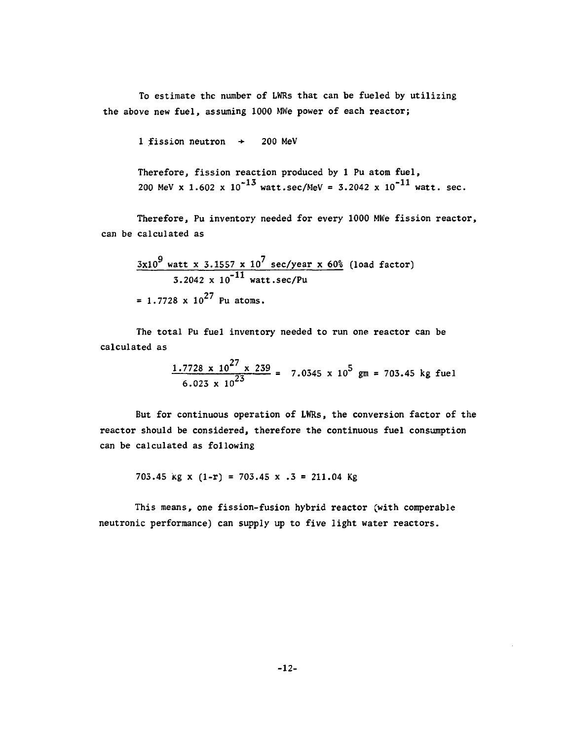To estimate the number of LWRs that can be fueled by utilizing the above new fuel, assuming 1000 MWe power of each reactor;

1 fission neutron  $+$  200 MeV

Therefore, fission reaction produced by 1 Pu atom fuel, 200 MeV x 1.602 x  $10^{-13}$  watt.sec/MeV = 3.2042 x  $10^{-11}$  watt. sec.

Therefore, Pu inventory needed for every 1000 MWe fission reactor, can be calculated as

$$
\frac{3x10^{9} \text{ watt } x \ 3.1557 \times 10^{7} \text{ sec/year } x \ 60\%} \text{ (load factor)}
$$
  
3.2042 x 10<sup>-11</sup> wat.sec/Pu  
= 1.7728 x 10<sup>27</sup> Pu atoms.

The total Pu fuel inventory needed to run one reactor can be calculated as

$$
\frac{1.7728 \times 10^{27} \times 239}{6.023 \times 10^{23}} = 7.0345 \times 10^{5}
$$
 gm = 703.45 kg fuel

But for continuous operation of LWRs, the conversion factor of the reactor should be considered, therefore the continuous fuel consumption can be calculated as following

703.45 kg x  $(1-r) = 703.45$  x  $.3 = 211.04$  Kg

This means, one fission-fusion hybrid reactor (with comperable neutronic performance) can supply up to five light water reactors.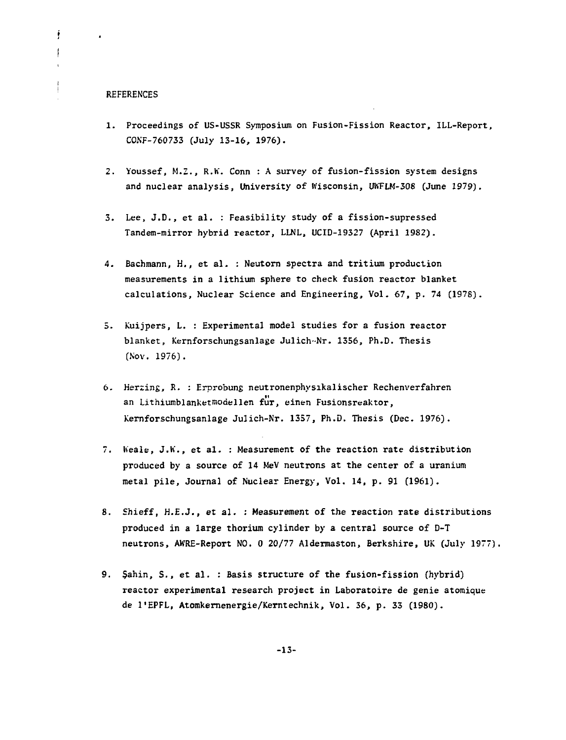### **REFERENCES**

ř  $\mathfrak{f}% _{k}$ 

- 1. Proceedings of US-USSR Symposium on Fusion-Fission Reactor, ILL-Report, CONF-760733 (July 13-16, 1976).
- 2. Youssef, M.Z., R.K. Conn : A survey of fusion-fission system designs and nuclear analysis, University of Wisconsin, UNFLM-308 (June 1979).
- 3. Lee, J.D., et al. : Feasibility study of a fission-supressed Tandem-mirror hybrid reactor, LLNL, UCID-19327 (April 1982).
- 4. Bachmann, H., et al. : Neutorn spectra and tritium production measurements in a lithium sphere to check fusion reactor blanket calculations, Nuclear Science and Engineering, Vol. 67, p. 74 (1978).
- **5. Kuijpers, L. : Experimental model studies for a fusion reactor blanket, Kernforschungsanlage Julich-Nr. 1356, Ph.D. Thesis (Nov. 1976).**
- 6. Herzing, R. : Erprobung neutronenphysikalischer Rechenverfahren **an Lithiumblanketmodellen fur, einen Fusionsreaktor, Kernforschungsanlage Julich-Nr. 1357, Ph.D. Thesis (Dec. 1976).**
- **7. Weale, J.K., et al. : Measurement of the reaction rate distribution produced by a source of 14 MeV neutrons at the center of a uranium metal pile, Journal of Nuclear Energy, Vol. 14, p. 91 (1961).**
- **8. Shieff, H.E.J., et al. : Measurement of the reaction rate distributions produced in a large thorium cylinder by a central source of D-T neutrons, AWRE-Report NO. 0 20/77 Aldermaston, Berkshire, UK (July 1977),**
- **9. Sahin, S., et al. : Basis structure of the fusion-fission (hybrid) reactor experimental research project in Laboratoire de genie atomique de l'EPFL, Atomkernenergie/Kerntechnik, Vol. 36, p. 33 (1980).**

-13-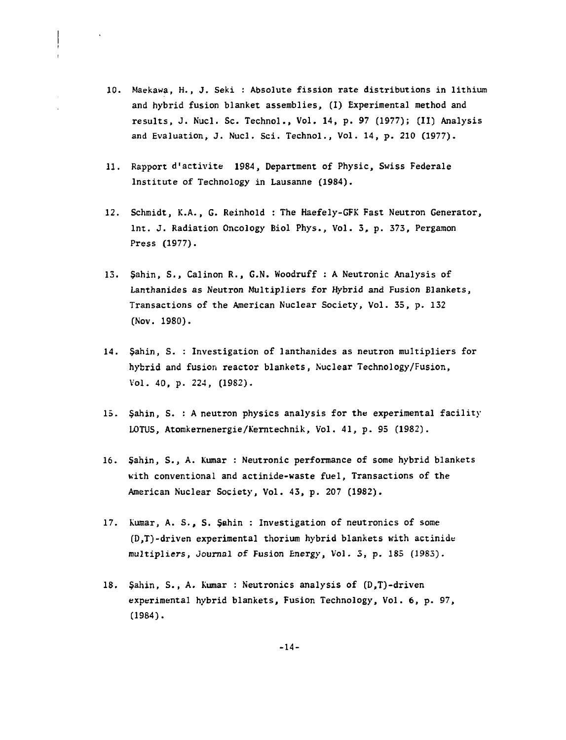- 10. Maekawa, H., J. Seki : Absolute fission rate distributions in lithium and hybrid fusion blanket assemblies, (1) Experimental method and results, J. Nucl. Sc. Technol., Vol. 14, p. 97 (1977); (II) Analysis and Evaluation, J. Nucl. Sci. Technol., Vol. 14, p. 210 (1977).
- 11. Rapport d'activite 1984, Department of Physic, Swiss Federale Institute of Technology in Lausanne (1984).
- 12. Schmidt, K.A., G. Reinhold : The Haefely-GFK Fast Neutron Generator, Int. J. Radiation Oncology Biol Phys., Vol. 3, p. 373, Pergamon Press (1977).
- 13. Sahin, S., Calinon R., G.N. Woodruff : A Neutronic Analysis of Lanthanides as Neutron Multipliers for Hybrid and Fusion Blankets, Transactions of the American Nuclear Society, Vol. 35, p. 132 (Nov. 1980).
- 14. Sahin, S. : Investigation of lanthanides as neutron multipliers for hybrid and fusion reactor blankets, Nuclear Technology/Fusion, Vol. 40, p. 224, (1982).
- 15. Sahin, S. : A neutron physics analysis for the experimental facility LOTUS, Atomkernenergie/Kerntechnik, Vol. 41, p. 95 (1982).
- 16. Sahin, S., A. Kumar : Neutronic performance of some hybrid blankets with conventional and actinide-waste fuel, Transactions of the American Nuclear Society, Vol. 43, p. 207 (1982).
- 17. Kumar, A. S., S. Sahin : Investigation of neutronics of some (D,T)-driven experimental thorium hybrid blankets with actinide multipliers, Journal of Fusion Energy, Vol. 3, p. 185 (1983).
- 18. Sahin, S., A. Kumar : Neutronics analysis of (D.T)-driven experimental hybrid blankets, Fusion Technology, Vol. 6, p. 97, (1984).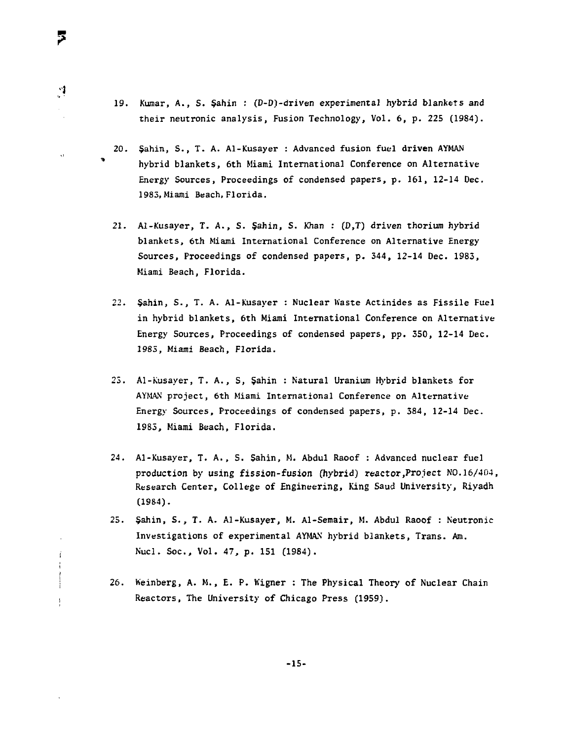19. Kumar, A., S. Sahin : (D-D)-driven experimental hybrid blankets and their neutronic analysis, Fusion Technology, Vol. 6, p. 225 (1984).

5

 $\mathcal{A}$ 

k.

 $\ddot{1}$ ÷

 $\mathfrak{f}$ 

- 20. Sahin, S., T. A. Al-Kusayer : Advanced fusion fuel driven AYMAN hybrid blankets, 6th Miami International Conference on Alternative Energy Sources, Proceedings of condensed papers, p. 161, 12-14 Dec. 1983, Miami Beach, Florida.
- 21. Al-Kusayer, T. A., S. Şahin, S. Khan : (D,T) driven thorium hybrid blankets, 6th Miami International Conference on Alternative Energy Sources, Proceedings of condensed papers, p. 344, 12-14 Dec. 1983, Miami Beach, Florida.
- 22. Sahin, S., T. A. Al-Kusayer : Nuclear Waste Actinides as Fissile Fuel in hybrid blankets, 6th Miami International Conference on Alternative Energy Sources, Proceedings of condensed papers, pp. 350, 12-14 Dec. 1985, Miami Beach, Florida.
- 25. Al-Kusayer, T. A., S, §ahin : Natural Uranium Hybrid blankets for AYMAN project, 6th Miami International Conference on Alternative Energy Sources, Proceedings of condensed papers, p. 384, 12-14 Dec. 1985, Miami Beach, Florida.
- 24. Al-Kusayer, T. A., S. \$ahin, M. Abdul Raoof : Advanced nuclear fuel production by using fission-fusion (hybrid) reactor.Project NO.16/404, Research Center, College of Engineering, King Saud University, Riyadh (1984).
- 25. Sahin, S., T. A. Al-Kusayer, M. Al-Semair, M. Abdul Raoof : Neutronic Investigations of experimental AYMAN hybrid blankets, Trans. Am. Nucl. Soc., Vol. 47, p. 151 (1984).
- 26. Keinberg, A. M., E. P. Wigner : The Physical Theory of Nuclear Chain Reactors, The University of Chicago Press (1959).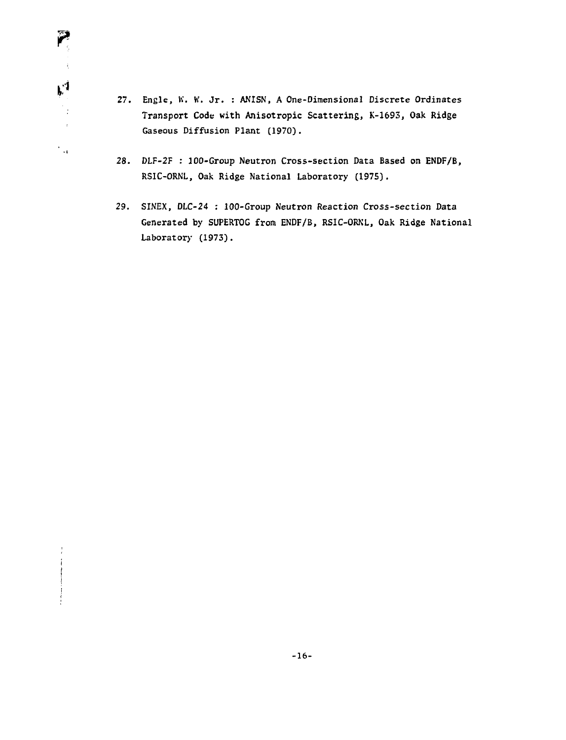

 $\frac{1}{2}$  $\mathfrak i$ ł

- 27. Engle, K. K. Jr. : ANISN, A One-Dimensional Discrete Ordinates Transport Code with Anisotropic Scattering, K-1693, Oak Ridge Gaseous Diffusion Plant (1970).
- 28. DLF-2F : 100-Group Neutron Cross-section Data Based on ENDF/B, RSIC-ORNL, Oak Ridge National Laboratory (1975).
- 29. SINEX, DLC-24 : 100-Group Neutron Reaction Cross-section Data Generated by SUPERTOG from ENDF/B, RSIC-ORNL, Oak Ridge National Laboratory (1973).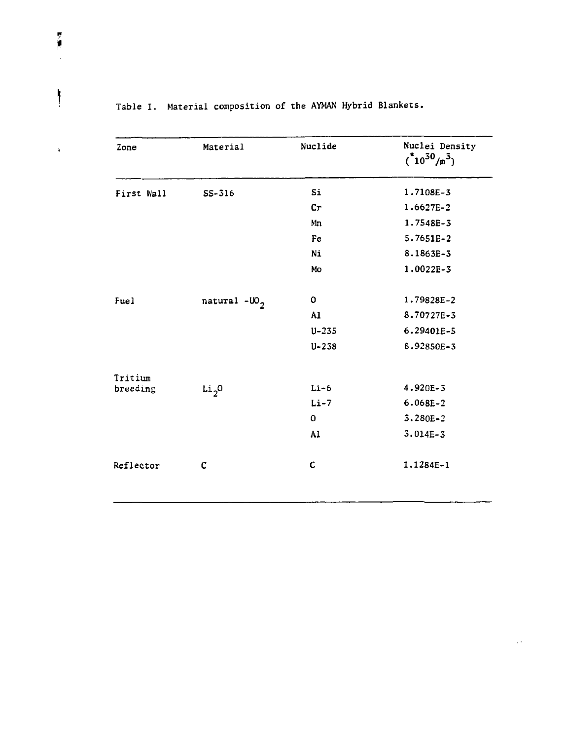| Zone       | Material          | Nuclide     | Nuclei Density<br>$({}_{10}^{30}/_{m}^{3})$ |
|------------|-------------------|-------------|---------------------------------------------|
| First Wall | SS-316            | Si          | 1.7108E-3                                   |
|            |                   | $C_{T}$     | 1.6627E-2                                   |
|            |                   | Mn          | 1.7548E-3                                   |
|            |                   | Fe          | 5.7651E-2                                   |
|            |                   | $N_{\perp}$ | 8.1863E-3                                   |
|            |                   | Mo          | 1.0022E-3                                   |
| Fuel       | natural $-W_2$    | $\Omega$    | 1.79828E-2                                  |
|            |                   | A1          | 8.70727E-3                                  |
|            |                   | $U - 235$   | 6.29401E-5                                  |
|            |                   | $U - 238$   | 8.92850E-3                                  |
| Tritium    |                   |             |                                             |
| breeding   | Li <sub>2</sub> 0 | $Li-6$      | 4.920E-3                                    |
|            |                   | $Li-7$      | $6.068E - 2$                                |
|            |                   | 0           | $3.280E - 2$                                |
|            |                   | Al          | $3.014E - 3$                                |
| Reflector  | C                 | $\mathbf C$ | 1.1284E-1                                   |

 $\epsilon$  .

# Table I. Material composition of the AYMAN Hybrid Blankets.

 $\bar{z}$ 

 $\begin{matrix} \rule{0pt}{2ex} \rule{0pt}{2ex} \rule{0pt}{2ex} \rule{0pt}{2ex} \rule{0pt}{2ex} \rule{0pt}{2ex} \rule{0pt}{2ex} \rule{0pt}{2ex} \rule{0pt}{2ex} \rule{0pt}{2ex} \rule{0pt}{2ex} \rule{0pt}{2ex} \rule{0pt}{2ex} \rule{0pt}{2ex} \rule{0pt}{2ex} \rule{0pt}{2ex} \rule{0pt}{2ex} \rule{0pt}{2ex} \rule{0pt}{2ex} \rule{0pt}{2ex} \rule{0pt}{2ex} \rule{0pt}{2ex} \rule{0pt}{2ex} \rule{0pt}{2ex$ 

 $\tilde{A}$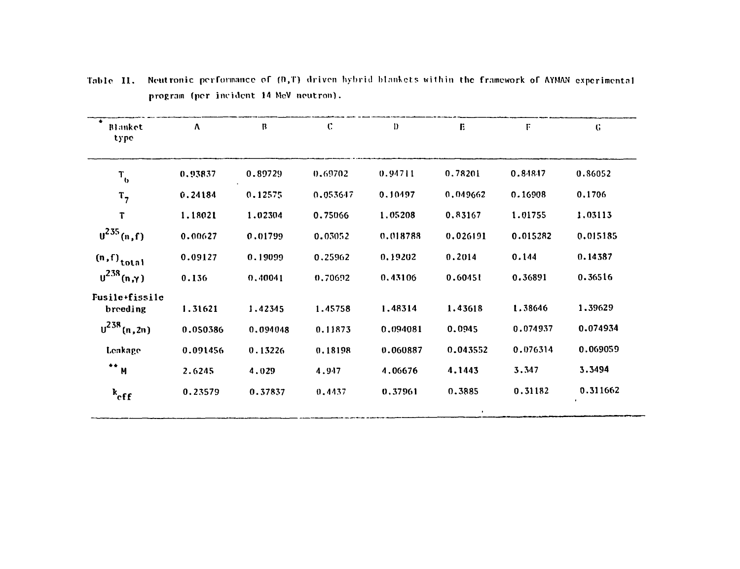| Blanket<br>type            | ٨        | B        | C.       | Ð        | E        | F        | G        |
|----------------------------|----------|----------|----------|----------|----------|----------|----------|
| $T_{6}$                    | 0.93837  | 0.89729  | 0.69702  | 0.94711  | 0.78201  | 0.84847  | 0.86052  |
| $\mathbf{r}_7$             | 0.24184  | 0.12575  | 0.053647 | 0.10497  | 0.049662 | 0.16908  | 0.1706   |
| Ŧ                          | 1.18021  | 1.02304  | 0.75066  | 1.05208  | 0.83167  | 1.01755  | 1.03113  |
| $u^{235}(n, f)$            | 0.00627  | 0.01799  | 0.03052  | 0.018788 | 0.026191 | 0.015282 | 0.015185 |
| $(n, f)$ <sub>total</sub>  | 0.09127  | 0.19099  | 0.25962  | 0.19202  | 0.2014   | 0.144    | 0.14387  |
| $u^{238}(n,\gamma)$        | 0.136    | 0.40041  | 0.70692  | 0.43106  | 0.60451  | 0.36891  | 0.36516  |
| Fusile+fissile<br>breeding | 1.31621  | 1.42345  | 1.45758  | 1.48314  | 1.43618  | 1.38646  | 1.39629  |
| $u^{238}(n, 2n)$           | 0.050386 | 0.094048 | 0.11873  | 0.094081 | 0.0945   | 0.074937 | 0.074934 |
| Leakage                    | 0.091456 | 0.13226  | 0.18198  | 0.060887 | 0.043552 | 0.076314 | 0.069059 |
| $**$ M                     | 2.6245   | 4.029    | 4.947    | 4,06676  | 4,1443   | 3.347    | 3.3494   |
| $k_{eff}$                  | 0.23579  | 0.37837  | 0.4437   | 0,37961  | 0.3885   | 0.31182  | 0.311662 |

كالمستعدد والمعارف والمتلاحظ وبروانهم

 $-$  and  $-$ 

Table II. Neutronic performance of (D,T) driven hybrid blankets within the framework of AYMAN experimental **program fper incident 14 MoV neutron).**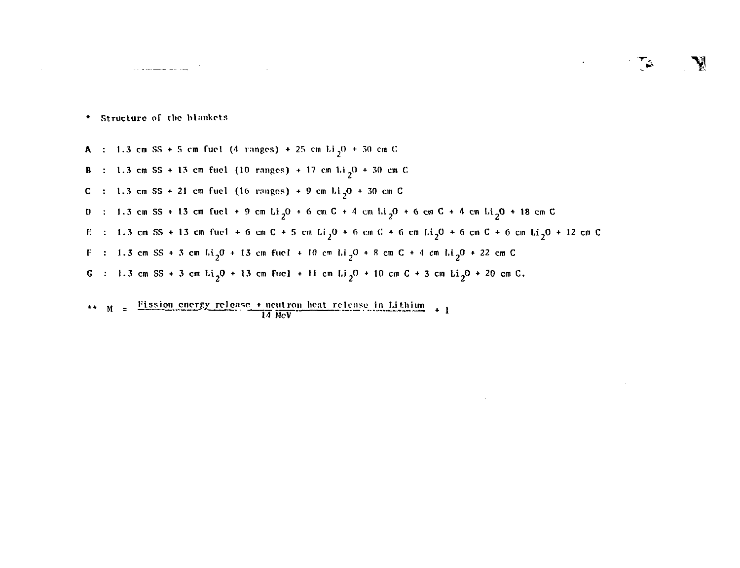$\sim$   $\sim$   $\sim$   $\sim$   $\sim$   $\sim$   $\sim$ 

### \* Structure of the blankets

**A** : 1.3 cm SS + 5 cm fuel (4 ranges) + 25 cm  $Li_2O$  + 30 cm C **B** : 1.3 cm SS + 13 cm fuel (10 ranges) + 17 cm  $1.1<sub>2</sub>$ O + 30 cm C **C** : 1.3 cm SS + 21 cm fuel (16 ranges) + 9 cm  $Li_2O$  + 30 cm C **D** : 1.3 cm SS + 13 cm fuel + 9 cm Li<sub>2</sub>O + 6 cm C + 4 cm Li<sub>2</sub>O + 6 cm C + 4 cm Li<sub>2</sub>O + 18 cm C *V.* **1.3 cm SS + 13 cm fuel + 6 cm C + 5 cm Li**<sub>2</sub>0 + 6 cm C + 6 cm Li<sub>2</sub>0 + 6 cm C + 6 cm Li<sub>2</sub>0 + 12 cm C **F** : 1.3 cm SS + 3 cm  $\text{Li}_2\text{O}$  + 13 cm fuel + 10 cm  $\text{Li}_2\text{O}$  + 8 cm C + 4 cm  $\text{Li}_2\text{O}$  + 22 cm C **G** : 1.3 cm SS + 3 cm  $Li_2O + 13$  cm  $fuc1 + 11$  cm  $Li_2O + 10$  cm C + 3 cm  $Li_2O + 20$  cm C. **\*\* M Fissio n energy rclc.-i^o • neutron licit rclc;ts e in l.itluum 14** MeV  $\rightarrow$  **14** MeV

 $\mathcal{F}_{\mathcal{G}}$ 

 $\mathbf{z} = \mathbf{z}$  ,  $\mathbf{z} = \mathbf{z}$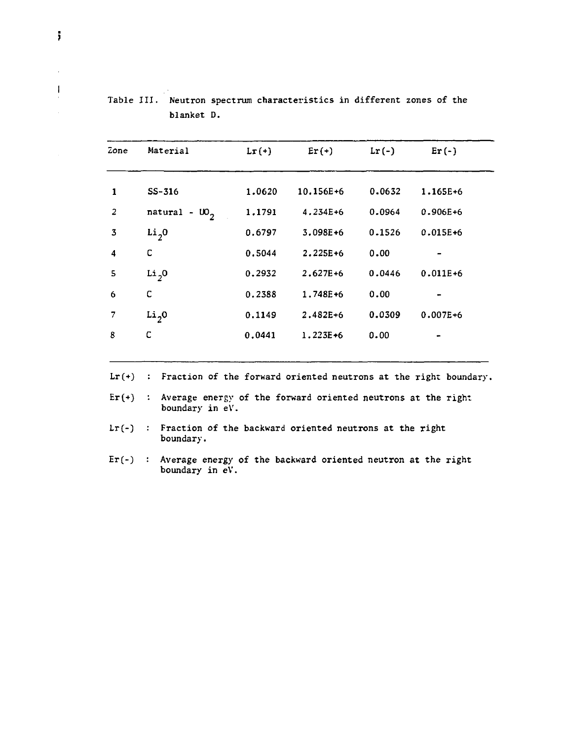| Zone           | Material               | Lr(t)  | $Er(*)$      | $Lr(-)$ | $Er(-)$      |
|----------------|------------------------|--------|--------------|---------|--------------|
| 1              | $SS - 316$             | 1.0620 | 10.156E+6    | 0.0632  | 1.165E+6     |
| $\overline{2}$ | natural - $10^{\circ}$ | 1.1791 | 4.234E+6     | 0.0964  | 0.906E+6     |
| 3              | Li <sub>2</sub> 0      | 0.6797 | $3.098E + 6$ | 0.1526  | $0.015E + 6$ |
| $\overline{4}$ | c                      | 0.5044 | 2.225E+6     | 0.00    |              |
| 5              | Li <sub>2</sub> O      | 0.2932 | $2.627E + 6$ | 0.0446  | $0.011E + 6$ |
| 6              | C                      | 0.2388 | 1.748E+6     | 0.00    |              |
| 7              | Li <sub>2</sub> 0      | 0.1149 | 2.482E+6     | 0.0309  | $0.007E + 6$ |
| 8              | C                      | 0.0441 | $1.223E + 6$ | 0.00    |              |
|                |                        |        |              |         |              |

Table III. Neutron spectrum characteristics in different zones of the blanket D.

 $Lr(+)$  : Fraction of the forward oriented neutrons at the right boundary.

 $Er(+)$  : Average energy of the forward oriented neutrons at the right boundary in eV.

Lr(-) : Fraction of the backward oriented neutrons at the right boundary.

Er(-) : Average energy of the backward oriented neutron at the right boundary in eV.

l.  $\mathbf{I}$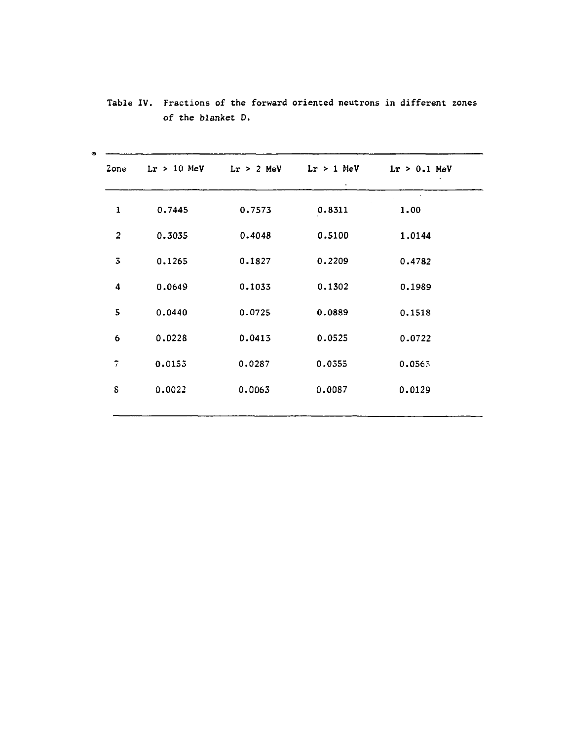| Zone           | $Lr > 10$ MeV | $Lr > 2$ MeV | $Lr > 1$ MeV | $lr > 0.1$ MeV |
|----------------|---------------|--------------|--------------|----------------|
| $\mathbf{1}$   | 0.7445        | 0.7573       | 0.8311       | 1.00           |
| $\overline{c}$ | 0.3035        | 0.4048       | 0.5100       | 1.0144         |
| $\overline{3}$ | 0.1265        | 0.1827       | 0.2209       | 0.4782         |
| 4              | 0.0649        | 0.1033       | 0.1302       | 0.1989         |
| 5              | 0.0440        | 0.0725       | 0.0889       | 0.1518         |
| 6              | 0.0228        | 0.0413       | 0.0525       | 0.0722         |
| 7              | 0.0153        | 0.0287       | 0.0355       | $0.056$ .      |
| 8              | 0.0022        | 0.0063       | 0.0087       | 0.0129         |
|                |               |              |              |                |

Table IV. Fractions of the forward oriented neutrons in different zones of the blanket D.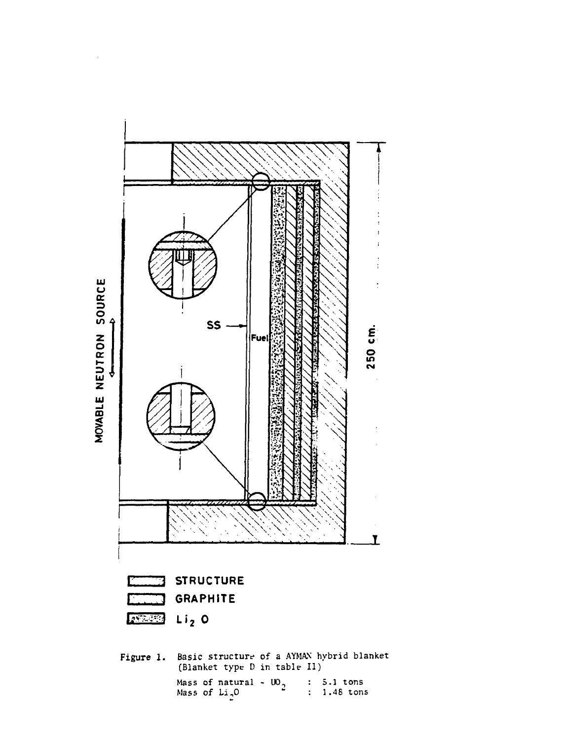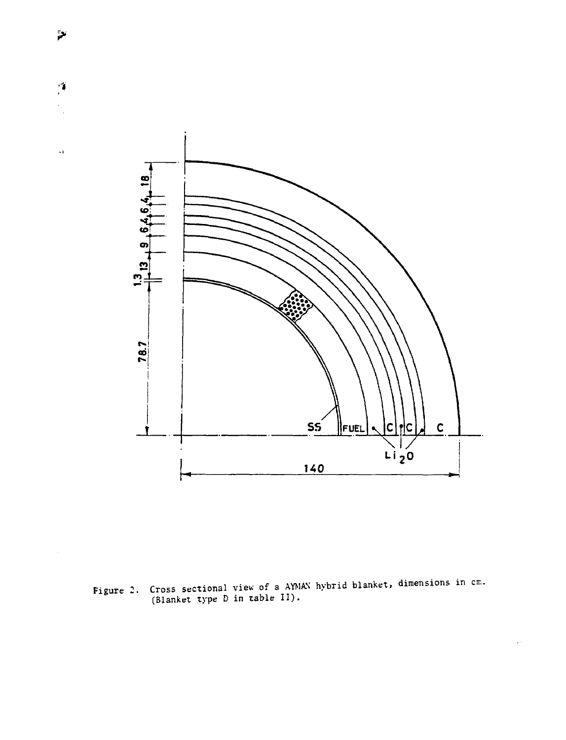

**Figure 2. Cross sectional view of a AYMAN hybrid blanket, dimensions in cm. (Blanket type D in table II).**

 $\tilde{\mathbf{p}}$ 

 $\mathcal{S}^{\prime}$ 

 $\ddot{\phantom{1}}$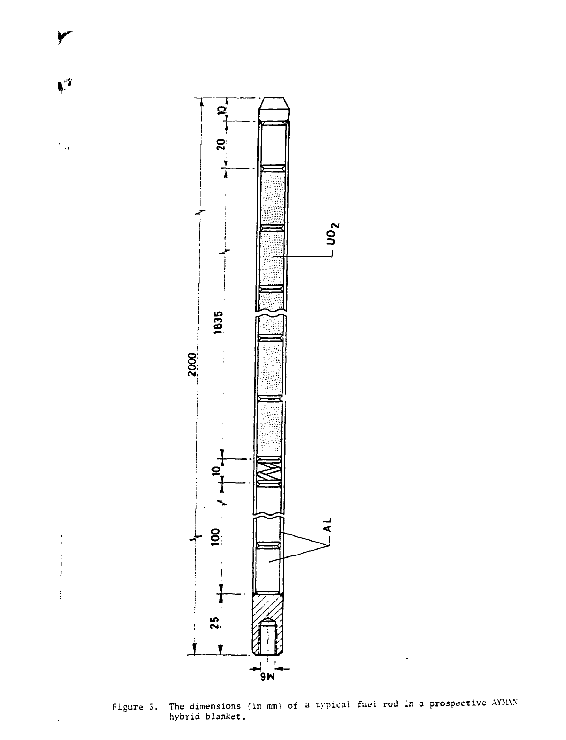

 $\mathbf{R}^{\mathcal{G}}$ 

 $\mathcal{F}_{\mathcal{A}}$ 

÷

 $\ddot{\phantom{0}}$ 

Figure 5. The dimensions (in mm'i of a typicai fuel rod in a prospective AYMAN hybrid blanket.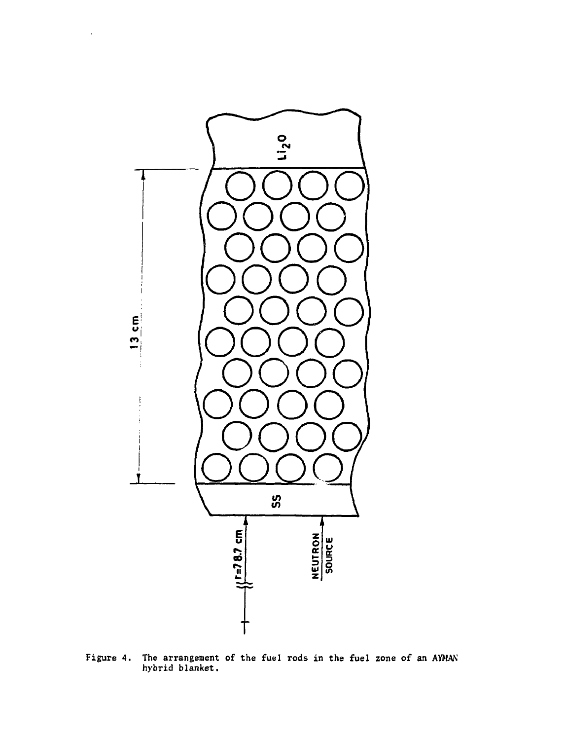

 $\ddot{\phantom{a}}$ 

**Figure 4. The arrangement of the fuel rods in the fuel zone of an AYMAN hybrid blanket.**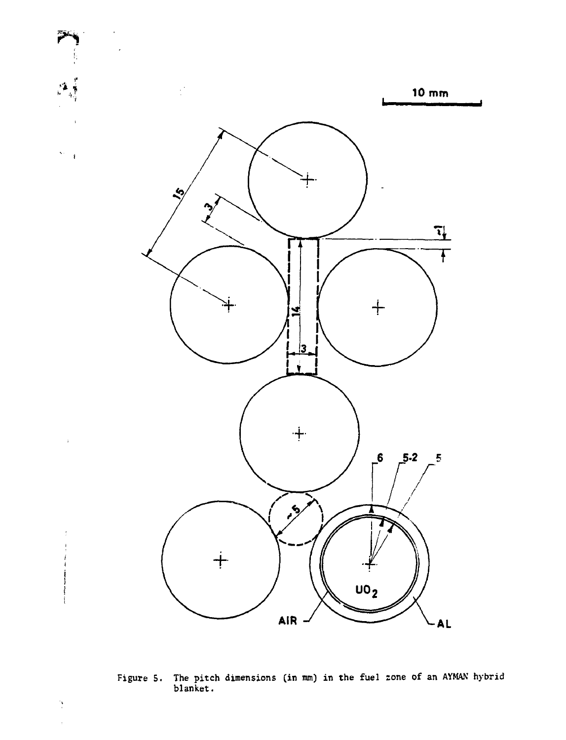

**Figure 5. The pitch dimensions (in mm) in the fuel zone of an AYMAN hybrid blanket.**

 $\frac{1}{2}$  $\ddot{\phantom{a}}$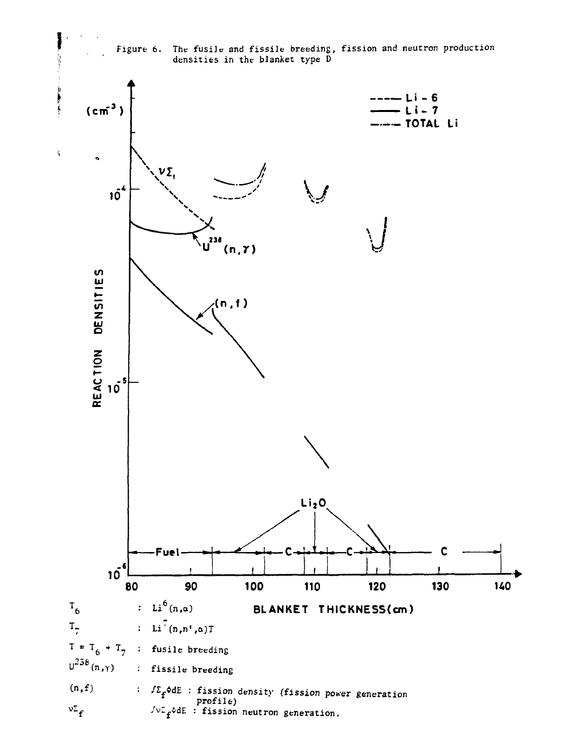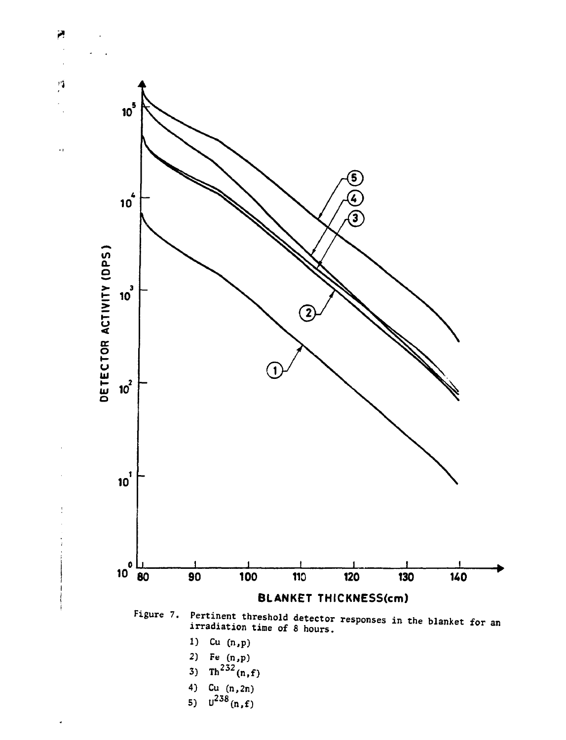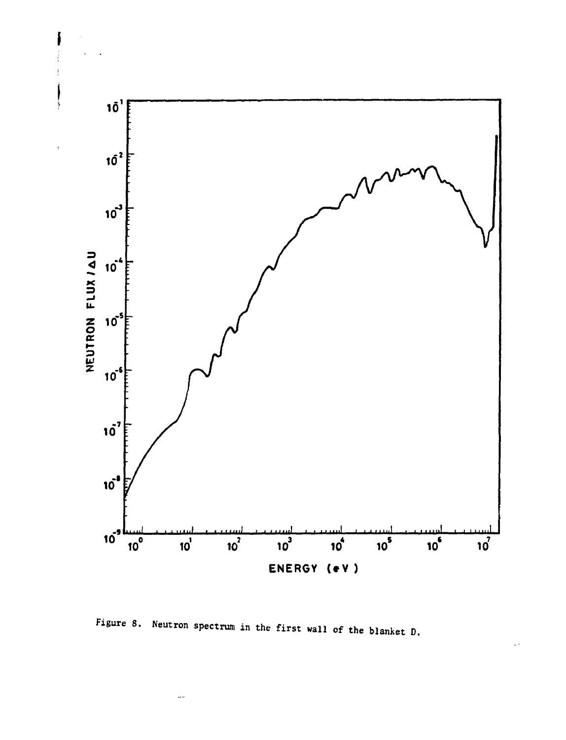

**Figure 8. Neutron spectrum in the first wall of the blanket D.**

 $\sim$   $\sim$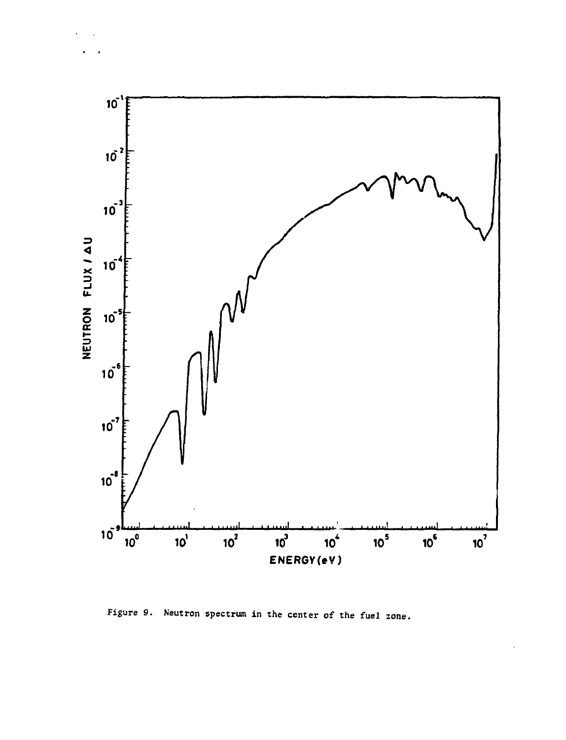

**Figure 9. Neutron spectrum in the center of the fuel zone.**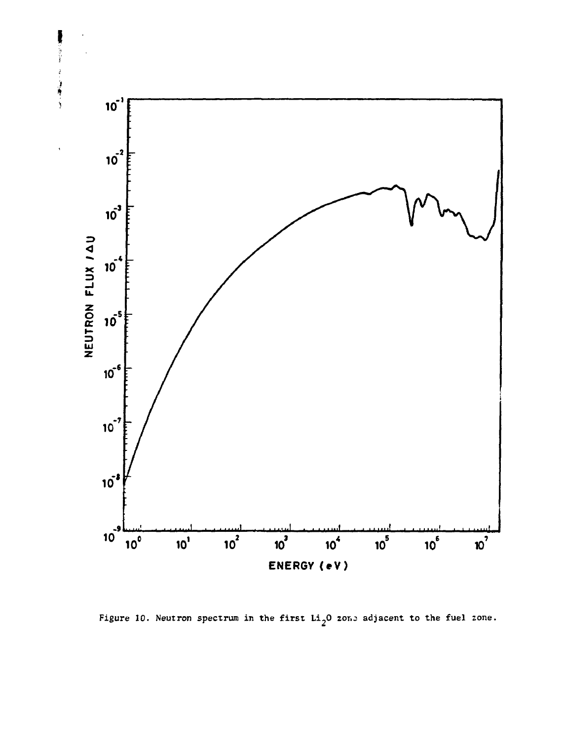

Figure 10. Neutron spectrum in the first  $Li_2O$  zono adjacent to the fuel zone.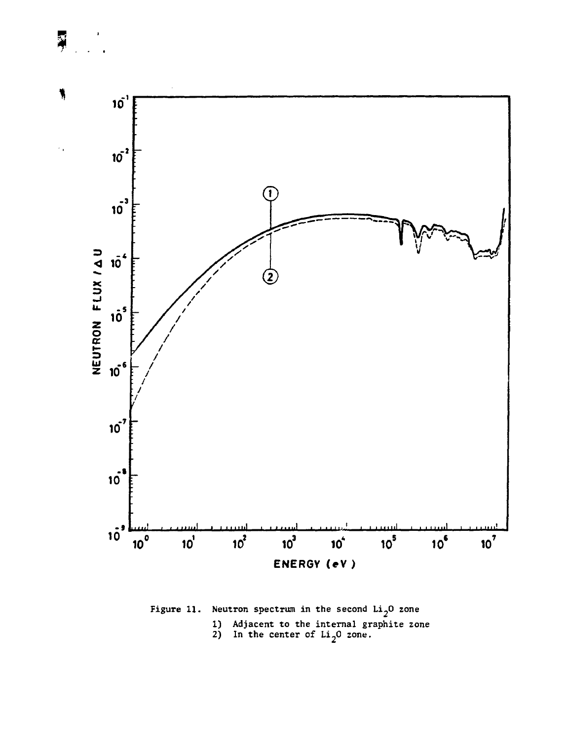



Figure 11. Neutron spectrum in the second Li<sub>2</sub>0 zone **1) Adjacent to the internal graphite zone**

**2) In the center of Li\_0 zone.**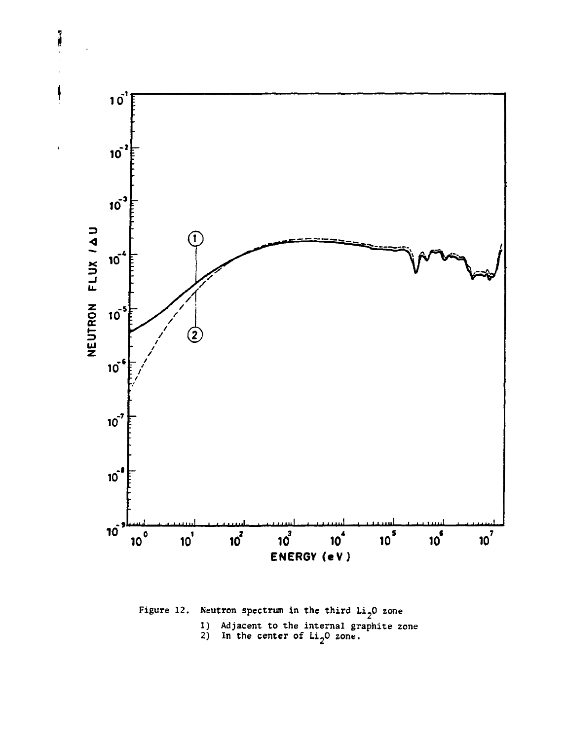

j

Figure 12. Neutron spectrum in the third Li<sub>2</sub>0 zone **1) Adjacent to the internal graphite zone**